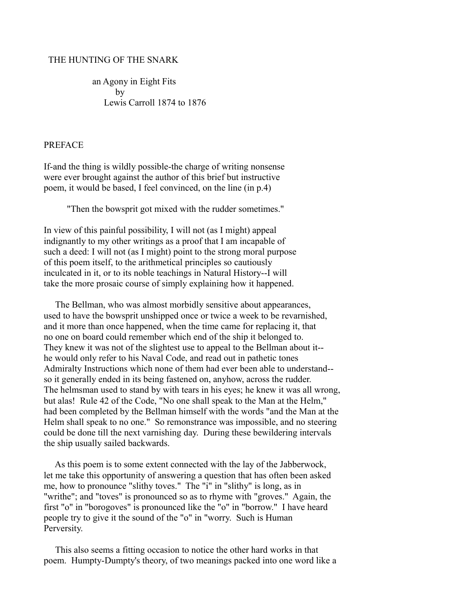#### THE HUNTING OF THE SNARK

 an Agony in Eight Fits by Lewis Carroll 1874 to 1876

#### PREFACE

If-and the thing is wildly possible-the charge of writing nonsense were ever brought against the author of this brief but instructive poem, it would be based, I feel convinced, on the line (in p.4)

"Then the bowsprit got mixed with the rudder sometimes."

In view of this painful possibility, I will not (as I might) appeal indignantly to my other writings as a proof that I am incapable of such a deed: I will not (as I might) point to the strong moral purpose of this poem itself, to the arithmetical principles so cautiously inculcated in it, or to its noble teachings in Natural History--I will take the more prosaic course of simply explaining how it happened.

 The Bellman, who was almost morbidly sensitive about appearances, used to have the bowsprit unshipped once or twice a week to be revarnished, and it more than once happened, when the time came for replacing it, that no one on board could remember which end of the ship it belonged to. They knew it was not of the slightest use to appeal to the Bellman about it- he would only refer to his Naval Code, and read out in pathetic tones Admiralty Instructions which none of them had ever been able to understand- so it generally ended in its being fastened on, anyhow, across the rudder. The helmsman used to stand by with tears in his eyes; he knew it was all wrong, but alas! Rule 42 of the Code, "No one shall speak to the Man at the Helm," had been completed by the Bellman himself with the words "and the Man at the Helm shall speak to no one." So remonstrance was impossible, and no steering could be done till the next varnishing day. During these bewildering intervals the ship usually sailed backwards.

 As this poem is to some extent connected with the lay of the Jabberwock, let me take this opportunity of answering a question that has often been asked me, how to pronounce "slithy toves." The "i" in "slithy" is long, as in "writhe"; and "toves" is pronounced so as to rhyme with "groves." Again, the first "o" in "borogoves" is pronounced like the "o" in "borrow." I have heard people try to give it the sound of the "o" in "worry. Such is Human Perversity.

 This also seems a fitting occasion to notice the other hard works in that poem. Humpty-Dumpty's theory, of two meanings packed into one word like a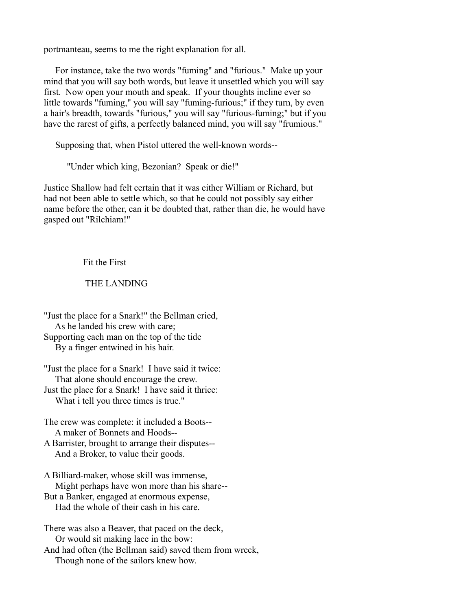portmanteau, seems to me the right explanation for all.

 For instance, take the two words "fuming" and "furious." Make up your mind that you will say both words, but leave it unsettled which you will say first. Now open your mouth and speak. If your thoughts incline ever so little towards "fuming," you will say "fuming-furious;" if they turn, by even a hair's breadth, towards "furious," you will say "furious-fuming;" but if you have the rarest of gifts, a perfectly balanced mind, you will say "frumious."

Supposing that, when Pistol uttered the well-known words--

"Under which king, Bezonian? Speak or die!"

Justice Shallow had felt certain that it was either William or Richard, but had not been able to settle which, so that he could not possibly say either name before the other, can it be doubted that, rather than die, he would have gasped out "Rilchiam!"

### Fit the First

### THE LANDING

"Just the place for a Snark!" the Bellman cried, As he landed his crew with care; Supporting each man on the top of the tide By a finger entwined in his hair.

"Just the place for a Snark! I have said it twice: That alone should encourage the crew. Just the place for a Snark! I have said it thrice: What i tell you three times is true."

- The crew was complete: it included a Boots-- A maker of Bonnets and Hoods--
- A Barrister, brought to arrange their disputes-- And a Broker, to value their goods.

A Billiard-maker, whose skill was immense, Might perhaps have won more than his share--

But a Banker, engaged at enormous expense, Had the whole of their cash in his care.

There was also a Beaver, that paced on the deck, Or would sit making lace in the bow:

And had often (the Bellman said) saved them from wreck, Though none of the sailors knew how.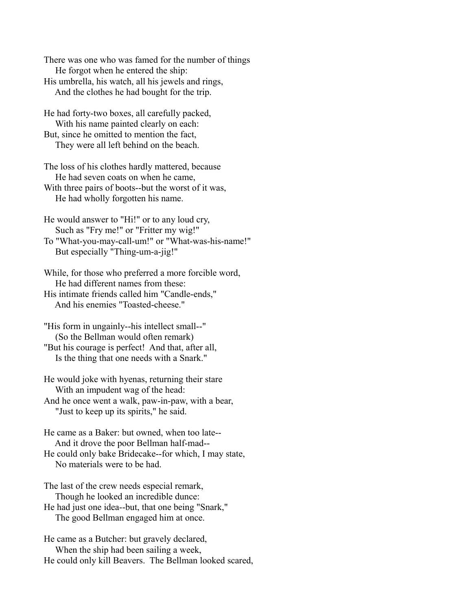There was one who was famed for the number of things He forgot when he entered the ship:

His umbrella, his watch, all his jewels and rings, And the clothes he had bought for the trip.

He had forty-two boxes, all carefully packed, With his name painted clearly on each: But, since he omitted to mention the fact,

They were all left behind on the beach.

The loss of his clothes hardly mattered, because He had seven coats on when he came, With three pairs of boots--but the worst of it was, He had wholly forgotten his name.

He would answer to "Hi!" or to any loud cry, Such as "Fry me!" or "Fritter my wig!"

To "What-you-may-call-um!" or "What-was-his-name!" But especially "Thing-um-a-jig!"

While, for those who preferred a more forcible word, He had different names from these:

His intimate friends called him "Candle-ends," And his enemies "Toasted-cheese."

"His form in ungainly--his intellect small--" (So the Bellman would often remark) "But his courage is perfect! And that, after all, Is the thing that one needs with a Snark."

He would joke with hyenas, returning their stare With an impudent wag of the head: And he once went a walk, paw-in-paw, with a bear,

"Just to keep up its spirits," he said.

He came as a Baker: but owned, when too late-- And it drove the poor Bellman half-mad-- He could only bake Bridecake--for which, I may state, No materials were to be had.

The last of the crew needs especial remark, Though he looked an incredible dunce:

He had just one idea--but, that one being "Snark," The good Bellman engaged him at once.

He came as a Butcher: but gravely declared, When the ship had been sailing a week, He could only kill Beavers. The Bellman looked scared,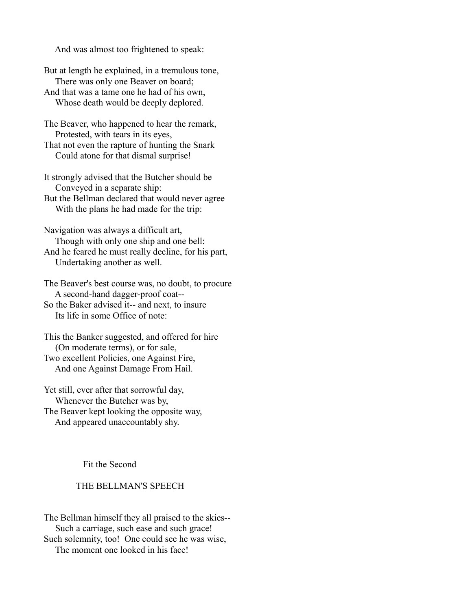And was almost too frightened to speak:

But at length he explained, in a tremulous tone, There was only one Beaver on board;

And that was a tame one he had of his own, Whose death would be deeply deplored.

The Beaver, who happened to hear the remark, Protested, with tears in its eyes,

That not even the rapture of hunting the Snark Could atone for that dismal surprise!

It strongly advised that the Butcher should be Conveyed in a separate ship: But the Bellman declared that would never agree

With the plans he had made for the trip:

Navigation was always a difficult art, Though with only one ship and one bell: And he feared he must really decline, for his part, Undertaking another as well.

The Beaver's best course was, no doubt, to procure A second-hand dagger-proof coat--

So the Baker advised it-- and next, to insure Its life in some Office of note:

This the Banker suggested, and offered for hire (On moderate terms), or for sale, Two excellent Policies, one Against Fire, And one Against Damage From Hail.

Yet still, ever after that sorrowful day, Whenever the Butcher was by, The Beaver kept looking the opposite way, And appeared unaccountably shy.

Fit the Second

## THE BELLMAN'S SPEECH

The Bellman himself they all praised to the skies-- Such a carriage, such ease and such grace! Such solemnity, too! One could see he was wise, The moment one looked in his face!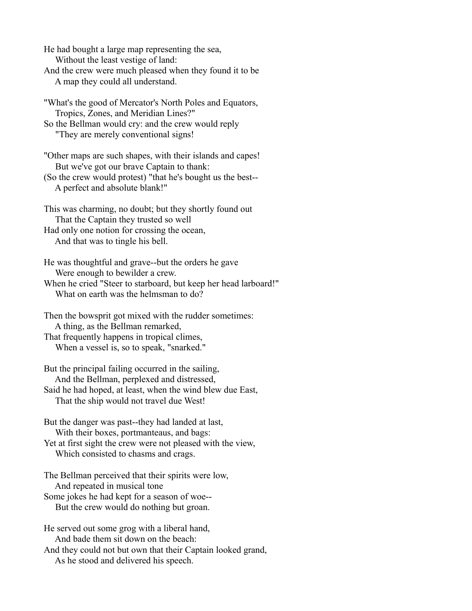He had bought a large map representing the sea, Without the least vestige of land: And the crew were much pleased when they found it to be A map they could all understand.

"What's the good of Mercator's North Poles and Equators, Tropics, Zones, and Meridian Lines?" So the Bellman would cry: and the crew would reply

"They are merely conventional signs!

"Other maps are such shapes, with their islands and capes! But we've got our brave Captain to thank:

(So the crew would protest) "that he's bought us the best-- A perfect and absolute blank!"

This was charming, no doubt; but they shortly found out That the Captain they trusted so well

Had only one notion for crossing the ocean, And that was to tingle his bell.

He was thoughtful and grave--but the orders he gave Were enough to bewilder a crew.

When he cried "Steer to starboard, but keep her head larboard!" What on earth was the helmsman to do?

Then the bowsprit got mixed with the rudder sometimes: A thing, as the Bellman remarked, That frequently happens in tropical climes,

When a vessel is, so to speak, "snarked."

But the principal failing occurred in the sailing, And the Bellman, perplexed and distressed, Said he had hoped, at least, when the wind blew due East, That the ship would not travel due West!

But the danger was past--they had landed at last, With their boxes, portmanteaus, and bags: Yet at first sight the crew were not pleased with the view,

Which consisted to chasms and crags.

The Bellman perceived that their spirits were low, And repeated in musical tone

Some jokes he had kept for a season of woe-- But the crew would do nothing but groan.

He served out some grog with a liberal hand, And bade them sit down on the beach:

And they could not but own that their Captain looked grand, As he stood and delivered his speech.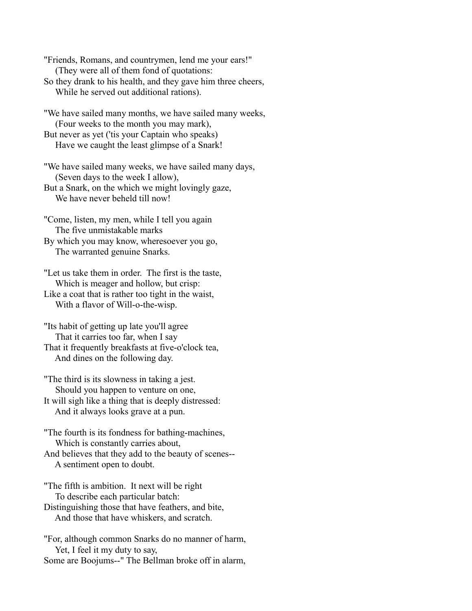"Friends, Romans, and countrymen, lend me your ears!" (They were all of them fond of quotations:

- So they drank to his health, and they gave him three cheers, While he served out additional rations).
- "We have sailed many months, we have sailed many weeks, (Four weeks to the month you may mark), But never as yet ('tis your Captain who speaks)

Have we caught the least glimpse of a Snark!

"We have sailed many weeks, we have sailed many days, (Seven days to the week I allow),

But a Snark, on the which we might lovingly gaze, We have never beheld till now!

"Come, listen, my men, while I tell you again The five unmistakable marks

By which you may know, wheresoever you go, The warranted genuine Snarks.

"Let us take them in order. The first is the taste, Which is meager and hollow, but crisp:

Like a coat that is rather too tight in the waist, With a flavor of Will-o-the-wisp.

"Its habit of getting up late you'll agree That it carries too far, when I say That it frequently breakfasts at five-o'clock tea, And dines on the following day.

"The third is its slowness in taking a jest. Should you happen to venture on one,

It will sigh like a thing that is deeply distressed: And it always looks grave at a pun.

"The fourth is its fondness for bathing-machines, Which is constantly carries about, And believes that they add to the beauty of scenes-- A sentiment open to doubt.

"The fifth is ambition. It next will be right To describe each particular batch:

Distinguishing those that have feathers, and bite, And those that have whiskers, and scratch.

"For, although common Snarks do no manner of harm, Yet, I feel it my duty to say, Some are Boojums--" The Bellman broke off in alarm,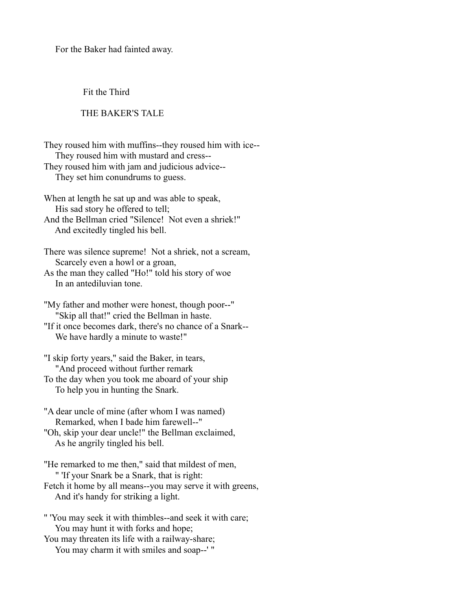For the Baker had fainted away.

Fit the Third

### THE BAKER'S TALE

They roused him with muffins--they roused him with ice-- They roused him with mustard and cress-- They roused him with jam and judicious advice-- They set him conundrums to guess.

When at length he sat up and was able to speak, His sad story he offered to tell; And the Bellman cried "Silence! Not even a shriek!"

And excitedly tingled his bell.

There was silence supreme! Not a shriek, not a scream, Scarcely even a howl or a groan,

As the man they called "Ho!" told his story of woe In an antediluvian tone.

"My father and mother were honest, though poor--" "Skip all that!" cried the Bellman in haste.

"If it once becomes dark, there's no chance of a Snark-- We have hardly a minute to waste!"

"I skip forty years," said the Baker, in tears, "And proceed without further remark

To the day when you took me aboard of your ship To help you in hunting the Snark.

"A dear uncle of mine (after whom I was named) Remarked, when I bade him farewell--"

"Oh, skip your dear uncle!" the Bellman exclaimed, As he angrily tingled his bell.

"He remarked to me then," said that mildest of men, " 'If your Snark be a Snark, that is right:

Fetch it home by all means--you may serve it with greens, And it's handy for striking a light.

" 'You may seek it with thimbles--and seek it with care; You may hunt it with forks and hope;

You may threaten its life with a railway-share; You may charm it with smiles and soap--' "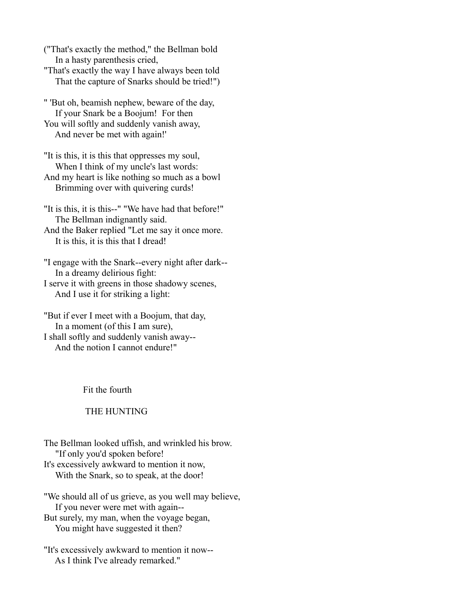("That's exactly the method," the Bellman bold In a hasty parenthesis cried, "That's exactly the way I have always been told

That the capture of Snarks should be tried!")

" 'But oh, beamish nephew, beware of the day, If your Snark be a Boojum! For then You will softly and suddenly vanish away, And never be met with again!'

"It is this, it is this that oppresses my soul, When I think of my uncle's last words: And my heart is like nothing so much as a bowl

Brimming over with quivering curds!

"It is this, it is this--" "We have had that before!" The Bellman indignantly said.

And the Baker replied "Let me say it once more. It is this, it is this that I dread!

"I engage with the Snark--every night after dark-- In a dreamy delirious fight: I serve it with greens in those shadowy scenes, And I use it for striking a light:

"But if ever I meet with a Boojum, that day, In a moment (of this I am sure), I shall softly and suddenly vanish away-- And the notion I cannot endure!"

Fit the fourth

# THE HUNTING

The Bellman looked uffish, and wrinkled his brow. "If only you'd spoken before! It's excessively awkward to mention it now, With the Snark, so to speak, at the door!

"We should all of us grieve, as you well may believe, If you never were met with again-- But surely, my man, when the voyage began, You might have suggested it then?

"It's excessively awkward to mention it now-- As I think I've already remarked."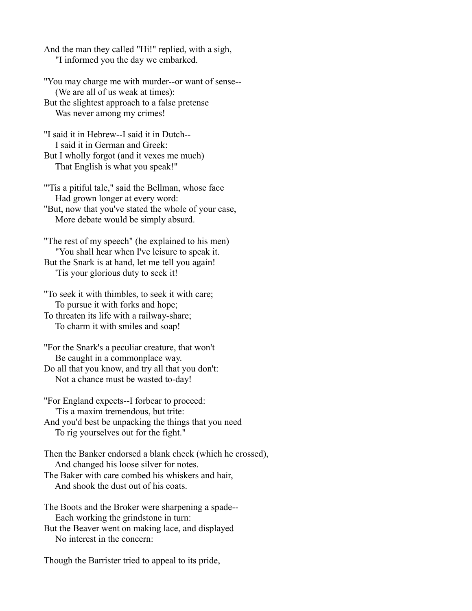And the man they called "Hi!" replied, with a sigh, "I informed you the day we embarked.

"You may charge me with murder--or want of sense-- (We are all of us weak at times): But the slightest approach to a false pretense Was never among my crimes!

"I said it in Hebrew--I said it in Dutch-- I said it in German and Greek: But I wholly forgot (and it vexes me much) That English is what you speak!"

"'Tis a pitiful tale," said the Bellman, whose face Had grown longer at every word:

"But, now that you've stated the whole of your case, More debate would be simply absurd.

"The rest of my speech" (he explained to his men) "You shall hear when I've leisure to speak it. But the Snark is at hand, let me tell you again! 'Tis your glorious duty to seek it!

"To seek it with thimbles, to seek it with care; To pursue it with forks and hope;

To threaten its life with a railway-share; To charm it with smiles and soap!

"For the Snark's a peculiar creature, that won't Be caught in a commonplace way.

Do all that you know, and try all that you don't: Not a chance must be wasted to-day!

"For England expects--I forbear to proceed: 'Tis a maxim tremendous, but trite:

And you'd best be unpacking the things that you need To rig yourselves out for the fight."

Then the Banker endorsed a blank check (which he crossed), And changed his loose silver for notes.

The Baker with care combed his whiskers and hair, And shook the dust out of his coats.

The Boots and the Broker were sharpening a spade-- Each working the grindstone in turn:

But the Beaver went on making lace, and displayed No interest in the concern:

Though the Barrister tried to appeal to its pride,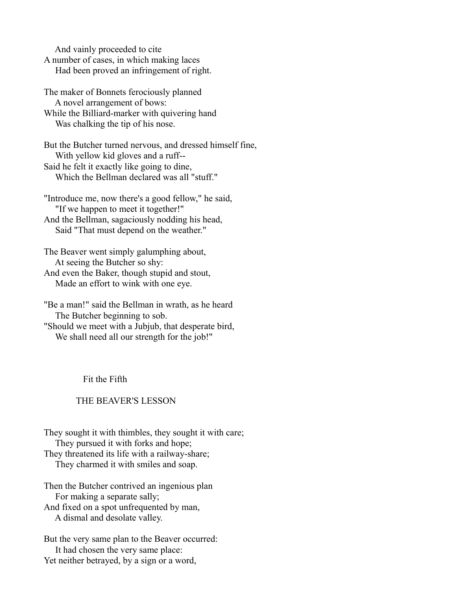And vainly proceeded to cite

A number of cases, in which making laces Had been proved an infringement of right.

The maker of Bonnets ferociously planned A novel arrangement of bows:

While the Billiard-marker with quivering hand Was chalking the tip of his nose.

But the Butcher turned nervous, and dressed himself fine, With yellow kid gloves and a ruff-- Said he felt it exactly like going to dine, Which the Bellman declared was all "stuff."

"Introduce me, now there's a good fellow," he said, "If we happen to meet it together!" And the Bellman, sagaciously nodding his head, Said "That must depend on the weather."

The Beaver went simply galumphing about, At seeing the Butcher so shy: And even the Baker, though stupid and stout, Made an effort to wink with one eye.

"Be a man!" said the Bellman in wrath, as he heard The Butcher beginning to sob. "Should we meet with a Jubjub, that desperate bird, We shall need all our strength for the job!"

Fit the Fifth

# THE BEAVER'S LESSON

They sought it with thimbles, they sought it with care; They pursued it with forks and hope; They threatened its life with a railway-share; They charmed it with smiles and soap.

Then the Butcher contrived an ingenious plan For making a separate sally;

And fixed on a spot unfrequented by man, A dismal and desolate valley.

But the very same plan to the Beaver occurred: It had chosen the very same place: Yet neither betrayed, by a sign or a word,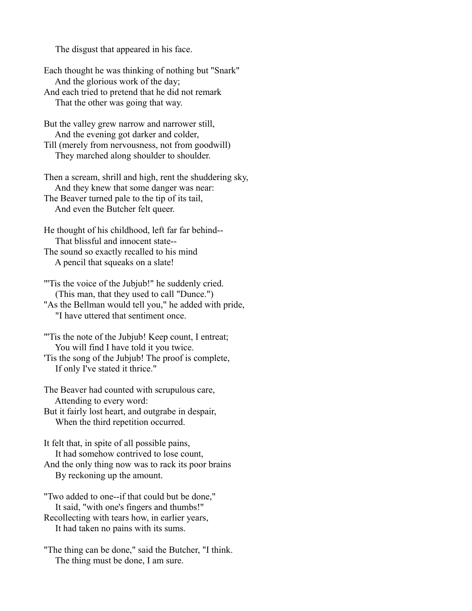The disgust that appeared in his face.

Each thought he was thinking of nothing but "Snark" And the glorious work of the day; And each tried to pretend that he did not remark That the other was going that way.

But the valley grew narrow and narrower still, And the evening got darker and colder,

Till (merely from nervousness, not from goodwill) They marched along shoulder to shoulder.

Then a scream, shrill and high, rent the shuddering sky, And they knew that some danger was near: The Beaver turned pale to the tip of its tail, And even the Butcher felt queer.

He thought of his childhood, left far far behind-- That blissful and innocent state-- The sound so exactly recalled to his mind A pencil that squeaks on a slate!

"'Tis the voice of the Jubjub!" he suddenly cried. (This man, that they used to call "Dunce.") "As the Bellman would tell you," he added with pride, "I have uttered that sentiment once.

"'Tis the note of the Jubjub! Keep count, I entreat; You will find I have told it you twice.

'Tis the song of the Jubjub! The proof is complete, If only I've stated it thrice."

The Beaver had counted with scrupulous care, Attending to every word:

But it fairly lost heart, and outgrabe in despair, When the third repetition occurred.

It felt that, in spite of all possible pains, It had somehow contrived to lose count, And the only thing now was to rack its poor brains By reckoning up the amount.

"Two added to one--if that could but be done," It said, "with one's fingers and thumbs!" Recollecting with tears how, in earlier years, It had taken no pains with its sums.

"The thing can be done," said the Butcher, "I think. The thing must be done, I am sure.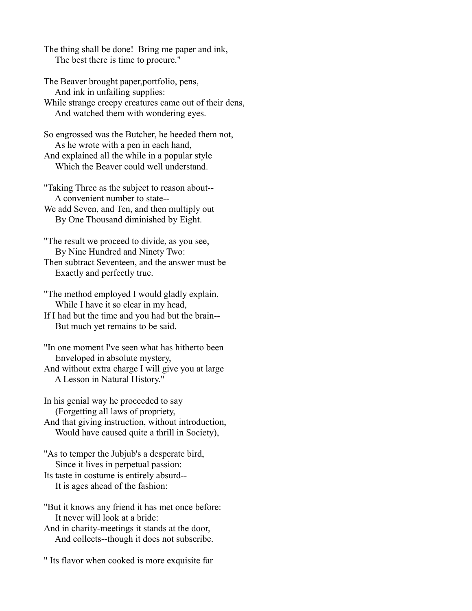The thing shall be done! Bring me paper and ink, The best there is time to procure."

The Beaver brought paper,portfolio, pens, And ink in unfailing supplies:

While strange creepy creatures came out of their dens, And watched them with wondering eyes.

So engrossed was the Butcher, he heeded them not, As he wrote with a pen in each hand, And explained all the while in a popular style Which the Beaver could well understand.

"Taking Three as the subject to reason about-- A convenient number to state--

We add Seven, and Ten, and then multiply out By One Thousand diminished by Eight.

"The result we proceed to divide, as you see, By Nine Hundred and Ninety Two:

Then subtract Seventeen, and the answer must be Exactly and perfectly true.

"The method employed I would gladly explain, While I have it so clear in my head,

If I had but the time and you had but the brain-- But much yet remains to be said.

"In one moment I've seen what has hitherto been Enveloped in absolute mystery,

And without extra charge I will give you at large A Lesson in Natural History."

In his genial way he proceeded to say (Forgetting all laws of propriety,

And that giving instruction, without introduction, Would have caused quite a thrill in Society),

"As to temper the Jubjub's a desperate bird, Since it lives in perpetual passion: Its taste in costume is entirely absurd--

It is ages ahead of the fashion:

"But it knows any friend it has met once before: It never will look at a bride:

And in charity-meetings it stands at the door, And collects--though it does not subscribe.

" Its flavor when cooked is more exquisite far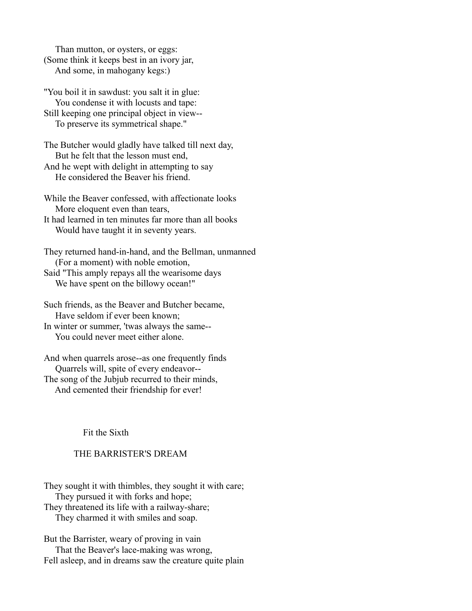Than mutton, or oysters, or eggs: (Some think it keeps best in an ivory jar, And some, in mahogany kegs:)

"You boil it in sawdust: you salt it in glue: You condense it with locusts and tape: Still keeping one principal object in view-- To preserve its symmetrical shape."

The Butcher would gladly have talked till next day, But he felt that the lesson must end, And he wept with delight in attempting to say He considered the Beaver his friend.

While the Beaver confessed, with affectionate looks More eloquent even than tears,

It had learned in ten minutes far more than all books Would have taught it in seventy years.

They returned hand-in-hand, and the Bellman, unmanned (For a moment) with noble emotion, Said "This amply repays all the wearisome days

We have spent on the billowy ocean!"

Such friends, as the Beaver and Butcher became, Have seldom if ever been known;

In winter or summer, 'twas always the same-- You could never meet either alone.

And when quarrels arose--as one frequently finds Quarrels will, spite of every endeavor-- The song of the Jubjub recurred to their minds, And cemented their friendship for ever!

Fit the Sixth

# THE BARRISTER'S DREAM

They sought it with thimbles, they sought it with care; They pursued it with forks and hope; They threatened its life with a railway-share;

They charmed it with smiles and soap.

But the Barrister, weary of proving in vain That the Beaver's lace-making was wrong, Fell asleep, and in dreams saw the creature quite plain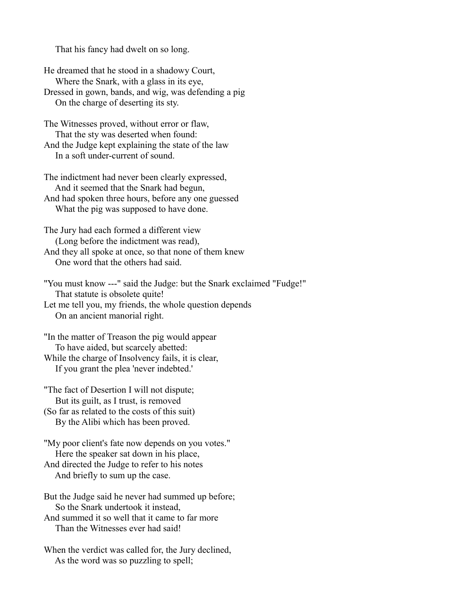That his fancy had dwelt on so long.

He dreamed that he stood in a shadowy Court, Where the Snark, with a glass in its eye, Dressed in gown, bands, and wig, was defending a pig On the charge of deserting its sty.

The Witnesses proved, without error or flaw, That the sty was deserted when found: And the Judge kept explaining the state of the law In a soft under-current of sound.

The indictment had never been clearly expressed, And it seemed that the Snark had begun, And had spoken three hours, before any one guessed What the pig was supposed to have done.

The Jury had each formed a different view (Long before the indictment was read), And they all spoke at once, so that none of them knew One word that the others had said.

"You must know ---" said the Judge: but the Snark exclaimed "Fudge!" That statute is obsolete quite! Let me tell you, my friends, the whole question depends

On an ancient manorial right.

"In the matter of Treason the pig would appear To have aided, but scarcely abetted: While the charge of Insolvency fails, it is clear, If you grant the plea 'never indebted.'

"The fact of Desertion I will not dispute; But its guilt, as I trust, is removed (So far as related to the costs of this suit) By the Alibi which has been proved.

"My poor client's fate now depends on you votes." Here the speaker sat down in his place, And directed the Judge to refer to his notes And briefly to sum up the case.

But the Judge said he never had summed up before; So the Snark undertook it instead, And summed it so well that it came to far more Than the Witnesses ever had said!

When the verdict was called for, the Jury declined, As the word was so puzzling to spell;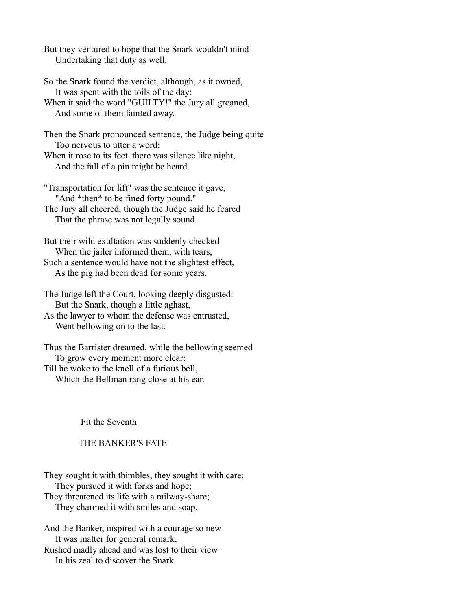But they ventured to hope that the Snark wouldn't mind Undertaking that duty as well.

So the Snark found the verdict, although, as it owned, It was spent with the toils of the day:

When it said the word "GUILTY!" the Jury all groaned, And some of them fainted away.

Then the Snark pronounced sentence, the Judge being quite Too nervous to utter a word:

When it rose to its feet, there was silence like night, And the fall of a pin might be heard.

"Transportation for lift" was the sentence it gave, "And \*then\* to be fined forty pound."

The Jury all cheered, though the Judge said he feared That the phrase was not legally sound.

But their wild exultation was suddenly checked When the jailer informed them, with tears, Such a sentence would have not the slightest effect, As the pig had been dead for some years.

The Judge left the Court, looking deeply disgusted: But the Snark, though a little aghast,

As the lawyer to whom the defense was entrusted, Went bellowing on to the last.

Thus the Barrister dreamed, while the bellowing seemed To grow every moment more clear: Till he woke to the knell of a furious bell,

Which the Bellman rang close at his ear.

Fit the Seventh

# THE BANKER'S FATE

They sought it with thimbles, they sought it with care; They pursued it with forks and hope; They threatened its life with a railway-share; They charmed it with smiles and soap.

And the Banker, inspired with a courage so new It was matter for general remark, Rushed madly ahead and was lost to their view

In his zeal to discover the Snark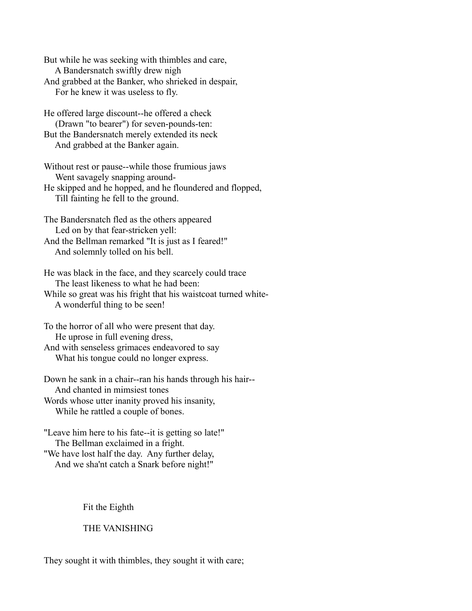But while he was seeking with thimbles and care, A Bandersnatch swiftly drew nigh And grabbed at the Banker, who shrieked in despair, For he knew it was useless to fly.

He offered large discount--he offered a check (Drawn "to bearer") for seven-pounds-ten: But the Bandersnatch merely extended its neck And grabbed at the Banker again.

Without rest or pause--while those frumious jaws Went savagely snapping around-He skipped and he hopped, and he floundered and flopped, Till fainting he fell to the ground.

The Bandersnatch fled as the others appeared Led on by that fear-stricken yell: And the Bellman remarked "It is just as I feared!"

And solemnly tolled on his bell.

He was black in the face, and they scarcely could trace The least likeness to what he had been: While so great was his fright that his waistcoat turned white- A wonderful thing to be seen!

To the horror of all who were present that day. He uprose in full evening dress,

And with senseless grimaces endeavored to say What his tongue could no longer express.

Down he sank in a chair--ran his hands through his hair-- And chanted in mimsiest tones Words whose utter inanity proved his insanity,

While he rattled a couple of bones.

"Leave him here to his fate--it is getting so late!" The Bellman exclaimed in a fright. "We have lost half the day. Any further delay, And we sha'nt catch a Snark before night!"

Fit the Eighth

THE VANISHING

They sought it with thimbles, they sought it with care;